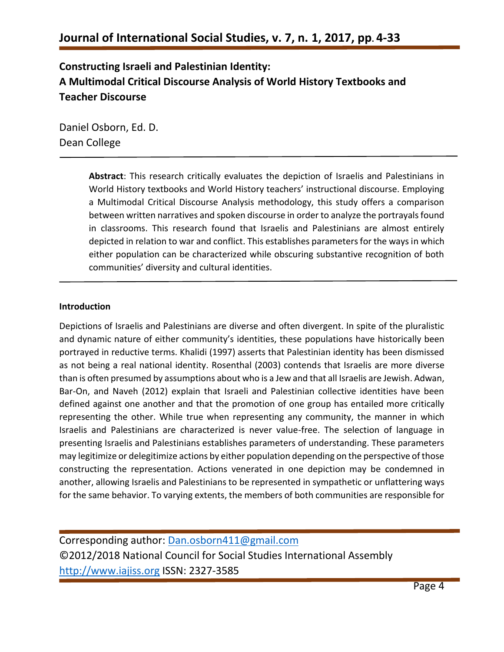### **Constructing Israeli and Palestinian Identity: A Multimodal Critical Discourse Analysis of World History Textbooks and Teacher Discourse**

Daniel Osborn, Ed. D. Dean College

> **Abstract**: This research critically evaluates the depiction of Israelis and Palestinians in World History textbooks and World History teachers' instructional discourse. Employing a Multimodal Critical Discourse Analysis methodology, this study offers a comparison between written narratives and spoken discourse in order to analyze the portrayals found in classrooms. This research found that Israelis and Palestinians are almost entirely depicted in relation to war and conflict. This establishes parameters for the ways in which either population can be characterized while obscuring substantive recognition of both communities' diversity and cultural identities.

### **Introduction**

Depictions of Israelis and Palestinians are diverse and often divergent. In spite of the pluralistic and dynamic nature of either community's identities, these populations have historically been portrayed in reductive terms. Khalidi (1997) asserts that Palestinian identity has been dismissed as not being a real national identity. Rosenthal (2003) contends that Israelis are more diverse than is often presumed by assumptions about who is a Jew and that all Israelis are Jewish. Adwan, Bar-On, and Naveh (2012) explain that Israeli and Palestinian collective identities have been defined against one another and that the promotion of one group has entailed more critically representing the other. While true when representing any community, the manner in which Israelis and Palestinians are characterized is never value-free. The selection of language in presenting Israelis and Palestinians establishes parameters of understanding. These parameters may legitimize or delegitimize actions by either population depending on the perspective of those constructing the representation. Actions venerated in one depiction may be condemned in another, allowing Israelis and Palestinians to be represented in sympathetic or unflattering ways for the same behavior. To varying extents, the members of both communities are responsible for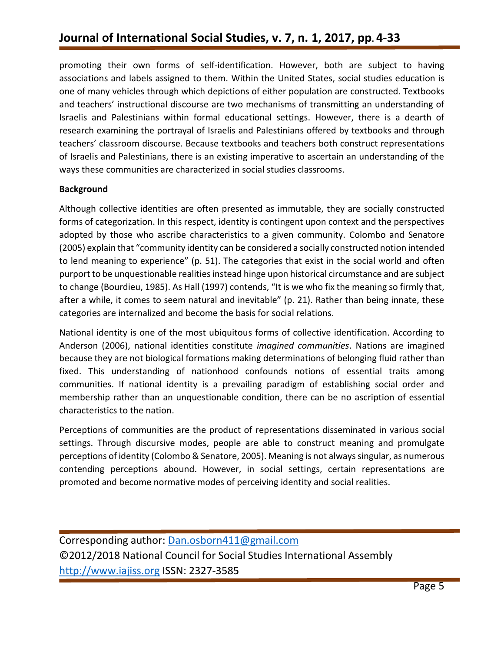promoting their own forms of self-identification. However, both are subject to having associations and labels assigned to them. Within the United States, social studies education is one of many vehicles through which depictions of either population are constructed. Textbooks and teachers' instructional discourse are two mechanisms of transmitting an understanding of Israelis and Palestinians within formal educational settings. However, there is a dearth of research examining the portrayal of Israelis and Palestinians offered by textbooks and through teachers' classroom discourse. Because textbooks and teachers both construct representations of Israelis and Palestinians, there is an existing imperative to ascertain an understanding of the ways these communities are characterized in social studies classrooms.

### **Background**

Although collective identities are often presented as immutable, they are socially constructed forms of categorization. In this respect, identity is contingent upon context and the perspectives adopted by those who ascribe characteristics to a given community. Colombo and Senatore (2005) explain that "community identity can be considered a socially constructed notion intended to lend meaning to experience" (p. 51). The categories that exist in the social world and often purport to be unquestionable realities instead hinge upon historical circumstance and are subject to change (Bourdieu, 1985). As Hall (1997) contends, "It is we who fix the meaning so firmly that, after a while, it comes to seem natural and inevitable" (p. 21). Rather than being innate, these categories are internalized and become the basis for social relations.

National identity is one of the most ubiquitous forms of collective identification. According to Anderson (2006), national identities constitute *imagined communities*. Nations are imagined because they are not biological formations making determinations of belonging fluid rather than fixed. This understanding of nationhood confounds notions of essential traits among communities. If national identity is a prevailing paradigm of establishing social order and membership rather than an unquestionable condition, there can be no ascription of essential characteristics to the nation.

Perceptions of communities are the product of representations disseminated in various social settings. Through discursive modes, people are able to construct meaning and promulgate perceptions of identity (Colombo & Senatore, 2005). Meaning is not always singular, as numerous contending perceptions abound. However, in social settings, certain representations are promoted and become normative modes of perceiving identity and social realities.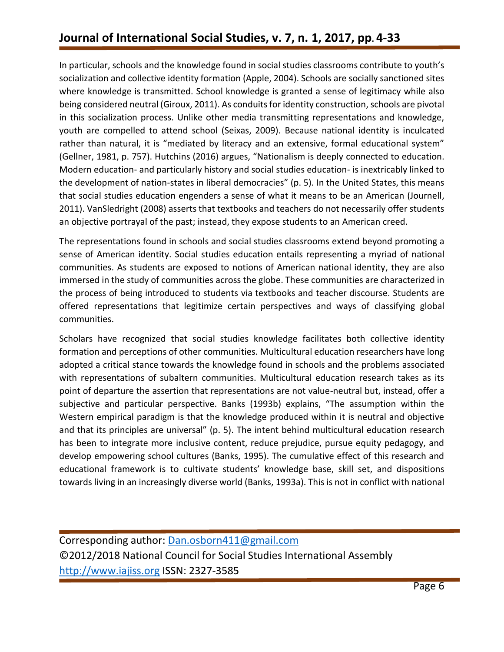In particular, schools and the knowledge found in social studies classrooms contribute to youth's socialization and collective identity formation (Apple, 2004). Schools are socially sanctioned sites where knowledge is transmitted. School knowledge is granted a sense of legitimacy while also being considered neutral (Giroux, 2011). As conduits for identity construction, schools are pivotal in this socialization process. Unlike other media transmitting representations and knowledge, youth are compelled to attend school (Seixas, 2009). Because national identity is inculcated rather than natural, it is "mediated by literacy and an extensive, formal educational system" (Gellner, 1981, p. 757). Hutchins (2016) argues, "Nationalism is deeply connected to education. Modern education- and particularly history and social studies education- is inextricably linked to the development of nation-states in liberal democracies" (p. 5). In the United States, this means that social studies education engenders a sense of what it means to be an American (Journell, 2011). VanSledright (2008) asserts that textbooks and teachers do not necessarily offer students an objective portrayal of the past; instead, they expose students to an American creed.

The representations found in schools and social studies classrooms extend beyond promoting a sense of American identity. Social studies education entails representing a myriad of national communities. As students are exposed to notions of American national identity, they are also immersed in the study of communities across the globe. These communities are characterized in the process of being introduced to students via textbooks and teacher discourse. Students are offered representations that legitimize certain perspectives and ways of classifying global communities.

Scholars have recognized that social studies knowledge facilitates both collective identity formation and perceptions of other communities. Multicultural education researchers have long adopted a critical stance towards the knowledge found in schools and the problems associated with representations of subaltern communities. Multicultural education research takes as its point of departure the assertion that representations are not value-neutral but, instead, offer a subjective and particular perspective. Banks (1993b) explains, "The assumption within the Western empirical paradigm is that the knowledge produced within it is neutral and objective and that its principles are universal" (p. 5). The intent behind multicultural education research has been to integrate more inclusive content, reduce prejudice, pursue equity pedagogy, and develop empowering school cultures (Banks, 1995). The cumulative effect of this research and educational framework is to cultivate students' knowledge base, skill set, and dispositions towards living in an increasingly diverse world (Banks, 1993a). This is not in conflict with national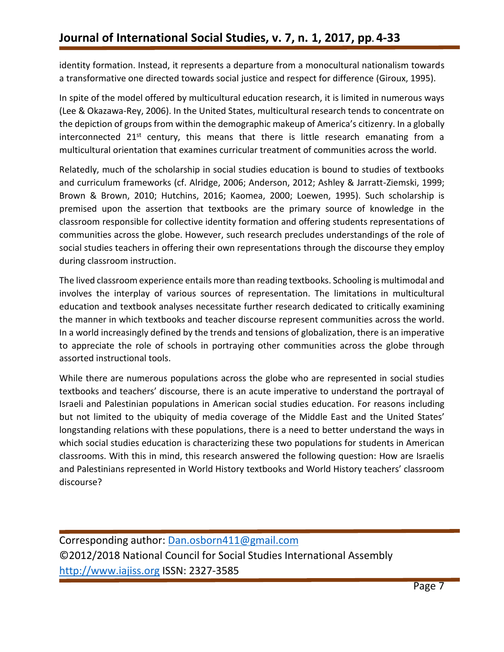identity formation. Instead, it represents a departure from a monocultural nationalism towards a transformative one directed towards social justice and respect for difference (Giroux, 1995).

In spite of the model offered by multicultural education research, it is limited in numerous ways (Lee & Okazawa-Rey, 2006). In the United States, multicultural research tends to concentrate on the depiction of groups from within the demographic makeup of America's citizenry. In a globally interconnected  $21<sup>st</sup>$  century, this means that there is little research emanating from a multicultural orientation that examines curricular treatment of communities across the world.

Relatedly, much of the scholarship in social studies education is bound to studies of textbooks and curriculum frameworks (cf. Alridge, 2006; Anderson, 2012; Ashley & Jarratt-Ziemski, 1999; Brown & Brown, 2010; Hutchins, 2016; Kaomea, 2000; Loewen, 1995). Such scholarship is premised upon the assertion that textbooks are the primary source of knowledge in the classroom responsible for collective identity formation and offering students representations of communities across the globe. However, such research precludes understandings of the role of social studies teachers in offering their own representations through the discourse they employ during classroom instruction.

The lived classroom experience entails more than reading textbooks. Schooling is multimodal and involves the interplay of various sources of representation. The limitations in multicultural education and textbook analyses necessitate further research dedicated to critically examining the manner in which textbooks and teacher discourse represent communities across the world. In a world increasingly defined by the trends and tensions of globalization, there is an imperative to appreciate the role of schools in portraying other communities across the globe through assorted instructional tools.

While there are numerous populations across the globe who are represented in social studies textbooks and teachers' discourse, there is an acute imperative to understand the portrayal of Israeli and Palestinian populations in American social studies education. For reasons including but not limited to the ubiquity of media coverage of the Middle East and the United States' longstanding relations with these populations, there is a need to better understand the ways in which social studies education is characterizing these two populations for students in American classrooms. With this in mind, this research answered the following question: How are Israelis and Palestinians represented in World History textbooks and World History teachers' classroom discourse?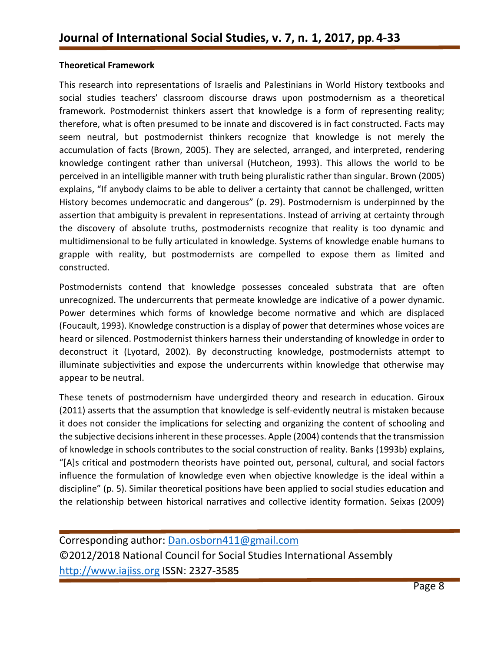### **Theoretical Framework**

This research into representations of Israelis and Palestinians in World History textbooks and social studies teachers' classroom discourse draws upon postmodernism as a theoretical framework. Postmodernist thinkers assert that knowledge is a form of representing reality; therefore, what is often presumed to be innate and discovered is in fact constructed. Facts may seem neutral, but postmodernist thinkers recognize that knowledge is not merely the accumulation of facts (Brown, 2005). They are selected, arranged, and interpreted, rendering knowledge contingent rather than universal (Hutcheon, 1993). This allows the world to be perceived in an intelligible manner with truth being pluralistic rather than singular. Brown (2005) explains, "If anybody claims to be able to deliver a certainty that cannot be challenged, written History becomes undemocratic and dangerous" (p. 29). Postmodernism is underpinned by the assertion that ambiguity is prevalent in representations. Instead of arriving at certainty through the discovery of absolute truths, postmodernists recognize that reality is too dynamic and multidimensional to be fully articulated in knowledge. Systems of knowledge enable humans to grapple with reality, but postmodernists are compelled to expose them as limited and constructed.

Postmodernists contend that knowledge possesses concealed substrata that are often unrecognized. The undercurrents that permeate knowledge are indicative of a power dynamic. Power determines which forms of knowledge become normative and which are displaced (Foucault, 1993). Knowledge construction is a display of power that determines whose voices are heard or silenced. Postmodernist thinkers harness their understanding of knowledge in order to deconstruct it (Lyotard, 2002). By deconstructing knowledge, postmodernists attempt to illuminate subjectivities and expose the undercurrents within knowledge that otherwise may appear to be neutral.

These tenets of postmodernism have undergirded theory and research in education. Giroux (2011) asserts that the assumption that knowledge is self-evidently neutral is mistaken because it does not consider the implications for selecting and organizing the content of schooling and the subjective decisions inherent in these processes. Apple (2004) contends that the transmission of knowledge in schools contributes to the social construction of reality. Banks (1993b) explains, "[A]s critical and postmodern theorists have pointed out, personal, cultural, and social factors influence the formulation of knowledge even when objective knowledge is the ideal within a discipline" (p. 5). Similar theoretical positions have been applied to social studies education and the relationship between historical narratives and collective identity formation. Seixas (2009)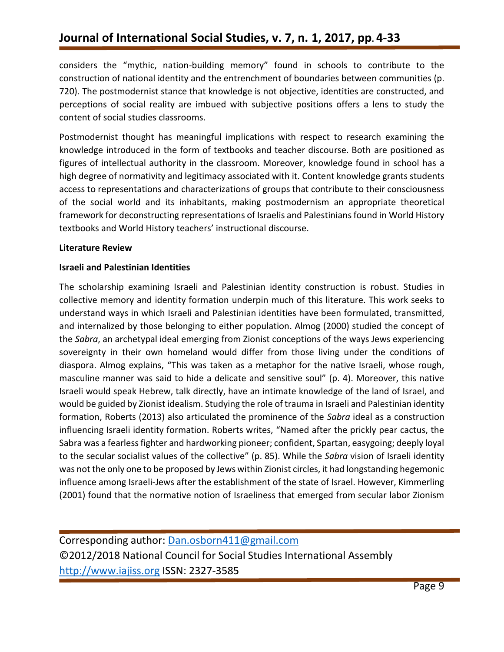considers the "mythic, nation-building memory" found in schools to contribute to the construction of national identity and the entrenchment of boundaries between communities (p. 720). The postmodernist stance that knowledge is not objective, identities are constructed, and perceptions of social reality are imbued with subjective positions offers a lens to study the content of social studies classrooms.

Postmodernist thought has meaningful implications with respect to research examining the knowledge introduced in the form of textbooks and teacher discourse. Both are positioned as figures of intellectual authority in the classroom. Moreover, knowledge found in school has a high degree of normativity and legitimacy associated with it. Content knowledge grants students access to representations and characterizations of groups that contribute to their consciousness of the social world and its inhabitants, making postmodernism an appropriate theoretical framework for deconstructing representations of Israelis and Palestinians found in World History textbooks and World History teachers' instructional discourse.

### **Literature Review**

### **Israeli and Palestinian Identities**

The scholarship examining Israeli and Palestinian identity construction is robust. Studies in collective memory and identity formation underpin much of this literature. This work seeks to understand ways in which Israeli and Palestinian identities have been formulated, transmitted, and internalized by those belonging to either population. Almog (2000) studied the concept of the *Sabra*, an archetypal ideal emerging from Zionist conceptions of the ways Jews experiencing sovereignty in their own homeland would differ from those living under the conditions of diaspora. Almog explains, "This was taken as a metaphor for the native Israeli, whose rough, masculine manner was said to hide a delicate and sensitive soul" (p. 4). Moreover, this native Israeli would speak Hebrew, talk directly, have an intimate knowledge of the land of Israel, and would be guided by Zionist idealism. Studying the role of trauma in Israeli and Palestinian identity formation, Roberts (2013) also articulated the prominence of the *Sabra* ideal as a construction influencing Israeli identity formation. Roberts writes, "Named after the prickly pear cactus, the Sabra was a fearless fighter and hardworking pioneer; confident, Spartan, easygoing; deeply loyal to the secular socialist values of the collective" (p. 85). While the *Sabra* vision of Israeli identity was not the only one to be proposed by Jews within Zionist circles, it had longstanding hegemonic influence among Israeli-Jews after the establishment of the state of Israel. However, Kimmerling (2001) found that the normative notion of Israeliness that emerged from secular labor Zionism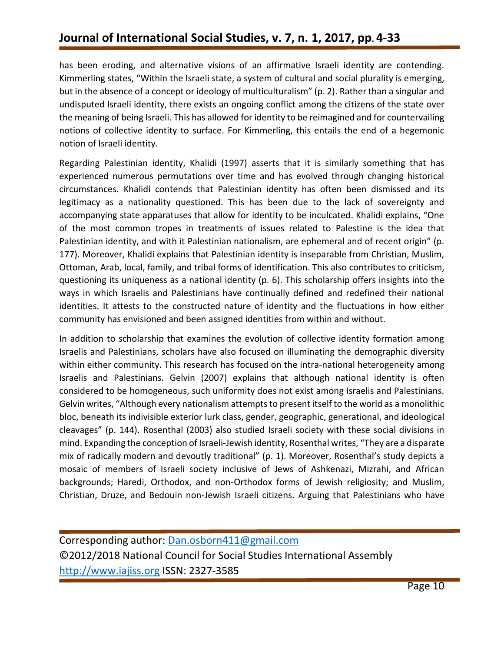has been eroding, and alternative visions of an affirmative Israeli identity are contending. Kimmerling states, "Within the Israeli state, a system of cultural and social plurality is emerging, but in the absence of a concept or ideology of multiculturalism" (p. 2). Rather than a singular and undisputed Israeli identity, there exists an ongoing conflict among the citizens of the state over the meaning of being Israeli. This has allowed for identity to be reimagined and for countervailing notions of collective identity to surface. For Kimmerling, this entails the end of a hegemonic notion of Israeli identity.

Regarding Palestinian identity, Khalidi (1997) asserts that it is similarly something that has experienced numerous permutations over time and has evolved through changing historical circumstances. Khalidi contends that Palestinian identity has often been dismissed and its legitimacy as a nationality questioned. This has been due to the lack of sovereignty and accompanying state apparatuses that allow for identity to be inculcated. Khalidi explains, "One of the most common tropes in treatments of issues related to Palestine is the idea that Palestinian identity, and with it Palestinian nationalism, are ephemeral and of recent origin" (p. 177). Moreover, Khalidi explains that Palestinian identity is inseparable from Christian, Muslim, Ottoman, Arab, local, family, and tribal forms of identification. This also contributes to criticism, questioning its uniqueness as a national identity (p. 6). This scholarship offers insights into the ways in which Israelis and Palestinians have continually defined and redefined their national identities. It attests to the constructed nature of identity and the fluctuations in how either community has envisioned and been assigned identities from within and without.

In addition to scholarship that examines the evolution of collective identity formation among Israelis and Palestinians, scholars have also focused on illuminating the demographic diversity within either community. This research has focused on the intra-national heterogeneity among Israelis and Palestinians. Gelvin (2007) explains that although national identity is often considered to be homogeneous, such uniformity does not exist among Israelis and Palestinians. Gelvin writes, "Although every nationalism attempts to present itself to the world as a monolithic bloc, beneath its indivisible exterior lurk class, gender, geographic, generational, and ideological cleavages" (p. 144). Rosenthal (2003) also studied Israeli society with these social divisions in mind. Expanding the conception of Israeli-Jewish identity, Rosenthal writes, "They are a disparate mix of radically modern and devoutly traditional" (p. 1). Moreover, Rosenthal's study depicts a mosaic of members of Israeli society inclusive of Jews of Ashkenazi, Mizrahi, and African backgrounds; Haredi, Orthodox, and non-Orthodox forms of Jewish religiosity; and Muslim, Christian, Druze, and Bedouin non-Jewish Israeli citizens. Arguing that Palestinians who have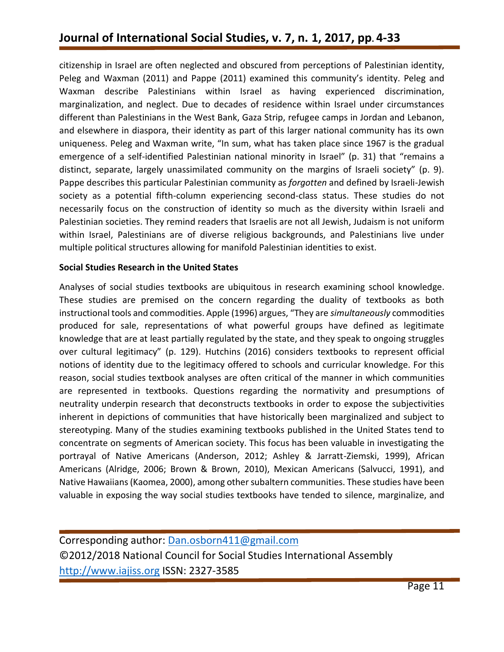citizenship in Israel are often neglected and obscured from perceptions of Palestinian identity, Peleg and Waxman (2011) and Pappe (2011) examined this community's identity. Peleg and Waxman describe Palestinians within Israel as having experienced discrimination, marginalization, and neglect. Due to decades of residence within Israel under circumstances different than Palestinians in the West Bank, Gaza Strip, refugee camps in Jordan and Lebanon, and elsewhere in diaspora, their identity as part of this larger national community has its own uniqueness. Peleg and Waxman write, "In sum, what has taken place since 1967 is the gradual emergence of a self-identified Palestinian national minority in Israel" (p. 31) that "remains a distinct, separate, largely unassimilated community on the margins of Israeli society" (p. 9). Pappe describes this particular Palestinian community as *forgotten* and defined by Israeli-Jewish society as a potential fifth-column experiencing second-class status. These studies do not necessarily focus on the construction of identity so much as the diversity within Israeli and Palestinian societies. They remind readers that Israelis are not all Jewish, Judaism is not uniform within Israel, Palestinians are of diverse religious backgrounds, and Palestinians live under multiple political structures allowing for manifold Palestinian identities to exist.

### **Social Studies Research in the United States**

Analyses of social studies textbooks are ubiquitous in research examining school knowledge. These studies are premised on the concern regarding the duality of textbooks as both instructional tools and commodities. Apple (1996) argues, "They are *simultaneously* commodities produced for sale, representations of what powerful groups have defined as legitimate knowledge that are at least partially regulated by the state, and they speak to ongoing struggles over cultural legitimacy" (p. 129). Hutchins (2016) considers textbooks to represent official notions of identity due to the legitimacy offered to schools and curricular knowledge. For this reason, social studies textbook analyses are often critical of the manner in which communities are represented in textbooks. Questions regarding the normativity and presumptions of neutrality underpin research that deconstructs textbooks in order to expose the subjectivities inherent in depictions of communities that have historically been marginalized and subject to stereotyping. Many of the studies examining textbooks published in the United States tend to concentrate on segments of American society. This focus has been valuable in investigating the portrayal of Native Americans (Anderson, 2012; Ashley & Jarratt-Ziemski, 1999), African Americans (Alridge, 2006; Brown & Brown, 2010), Mexican Americans (Salvucci, 1991), and Native Hawaiians (Kaomea, 2000), among other subaltern communities. These studies have been valuable in exposing the way social studies textbooks have tended to silence, marginalize, and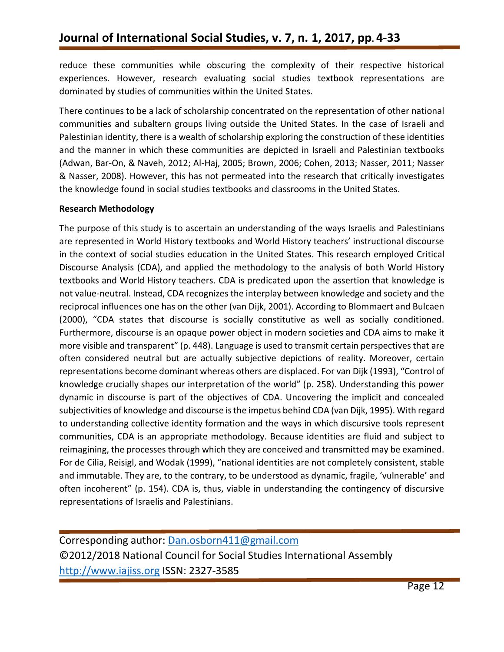reduce these communities while obscuring the complexity of their respective historical experiences. However, research evaluating social studies textbook representations are dominated by studies of communities within the United States.

There continues to be a lack of scholarship concentrated on the representation of other national communities and subaltern groups living outside the United States. In the case of Israeli and Palestinian identity, there is a wealth of scholarship exploring the construction of these identities and the manner in which these communities are depicted in Israeli and Palestinian textbooks (Adwan, Bar-On, & Naveh, 2012; Al-Haj, 2005; Brown, 2006; Cohen, 2013; Nasser, 2011; Nasser & Nasser, 2008). However, this has not permeated into the research that critically investigates the knowledge found in social studies textbooks and classrooms in the United States.

### **Research Methodology**

The purpose of this study is to ascertain an understanding of the ways Israelis and Palestinians are represented in World History textbooks and World History teachers' instructional discourse in the context of social studies education in the United States. This research employed Critical Discourse Analysis (CDA), and applied the methodology to the analysis of both World History textbooks and World History teachers. CDA is predicated upon the assertion that knowledge is not value-neutral. Instead, CDA recognizes the interplay between knowledge and society and the reciprocal influences one has on the other (van Dijk, 2001). According to Blommaert and Bulcaen (2000), "CDA states that discourse is socially constitutive as well as socially conditioned. Furthermore, discourse is an opaque power object in modern societies and CDA aims to make it more visible and transparent" (p. 448). Language is used to transmit certain perspectives that are often considered neutral but are actually subjective depictions of reality. Moreover, certain representations become dominant whereas others are displaced. For van Dijk (1993), "Control of knowledge crucially shapes our interpretation of the world" (p. 258). Understanding this power dynamic in discourse is part of the objectives of CDA. Uncovering the implicit and concealed subjectivities of knowledge and discourse is the impetus behind CDA (van Dijk, 1995). With regard to understanding collective identity formation and the ways in which discursive tools represent communities, CDA is an appropriate methodology. Because identities are fluid and subject to reimagining, the processes through which they are conceived and transmitted may be examined. For de Cilia, Reisigl, and Wodak (1999), "national identities are not completely consistent, stable and immutable. They are, to the contrary, to be understood as dynamic, fragile, 'vulnerable' and often incoherent" (p. 154). CDA is, thus, viable in understanding the contingency of discursive representations of Israelis and Palestinians.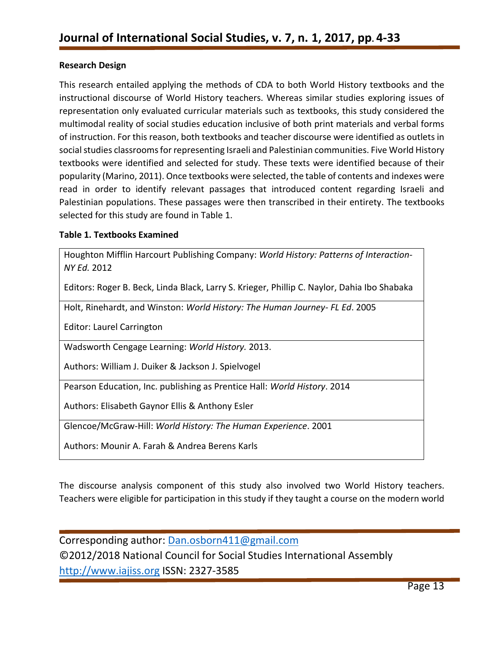#### **Research Design**

This research entailed applying the methods of CDA to both World History textbooks and the instructional discourse of World History teachers. Whereas similar studies exploring issues of representation only evaluated curricular materials such as textbooks, this study considered the multimodal reality of social studies education inclusive of both print materials and verbal forms of instruction. For this reason, both textbooks and teacher discourse were identified as outlets in social studies classrooms for representing Israeli and Palestinian communities. Five World History textbooks were identified and selected for study. These texts were identified because of their popularity (Marino, 2011). Once textbooks were selected, the table of contents and indexes were read in order to identify relevant passages that introduced content regarding Israeli and Palestinian populations. These passages were then transcribed in their entirety. The textbooks selected for this study are found in Table 1.

#### **Table 1. Textbooks Examined**

Houghton Mifflin Harcourt Publishing Company: *World History: Patterns of Interaction-NY Ed.* 2012

Editors: Roger B. Beck, Linda Black, Larry S. Krieger, Phillip C. Naylor, Dahia Ibo Shabaka

Holt, Rinehardt, and Winston: *World History: The Human Journey- FL Ed*. 2005

Editor: Laurel Carrington

Wadsworth Cengage Learning: *World History.* 2013.

Authors: William J. Duiker & Jackson J. Spielvogel

Pearson Education, Inc. publishing as Prentice Hall: *World History*. 2014

Authors: Elisabeth Gaynor Ellis & Anthony Esler

Glencoe/McGraw-Hill: *World History: The Human Experience*. 2001

Authors: Mounir A. Farah & Andrea Berens Karls

The discourse analysis component of this study also involved two World History teachers. Teachers were eligible for participation in this study if they taught a course on the modern world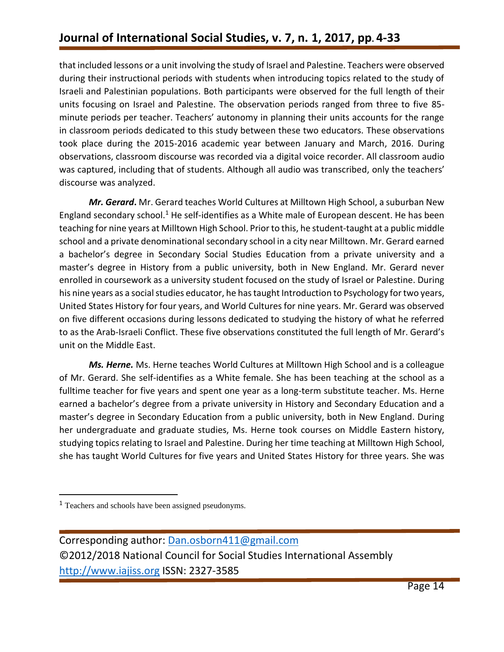that included lessons or a unit involving the study of Israel and Palestine. Teachers were observed during their instructional periods with students when introducing topics related to the study of Israeli and Palestinian populations. Both participants were observed for the full length of their units focusing on Israel and Palestine. The observation periods ranged from three to five 85 minute periods per teacher. Teachers' autonomy in planning their units accounts for the range in classroom periods dedicated to this study between these two educators. These observations took place during the 2015-2016 academic year between January and March, 2016. During observations, classroom discourse was recorded via a digital voice recorder. All classroom audio was captured, including that of students. Although all audio was transcribed, only the teachers' discourse was analyzed.

*Mr. Gerard***.** Mr. Gerard teaches World Cultures at Milltown High School, a suburban New England secondary school.<sup>1</sup> He self-identifies as a White male of European descent. He has been teaching for nine years at Milltown High School. Prior to this, he student-taught at a public middle school and a private denominational secondary school in a city near Milltown. Mr. Gerard earned a bachelor's degree in Secondary Social Studies Education from a private university and a master's degree in History from a public university, both in New England. Mr. Gerard never enrolled in coursework as a university student focused on the study of Israel or Palestine. During his nine years as a social studies educator, he has taught Introduction to Psychology for two years, United States History for four years, and World Cultures for nine years. Mr. Gerard was observed on five different occasions during lessons dedicated to studying the history of what he referred to as the Arab-Israeli Conflict. These five observations constituted the full length of Mr. Gerard's unit on the Middle East.

*Ms. Herne.* Ms. Herne teaches World Cultures at Milltown High School and is a colleague of Mr. Gerard. She self-identifies as a White female. She has been teaching at the school as a fulltime teacher for five years and spent one year as a long-term substitute teacher. Ms. Herne earned a bachelor's degree from a private university in History and Secondary Education and a master's degree in Secondary Education from a public university, both in New England. During her undergraduate and graduate studies, Ms. Herne took courses on Middle Eastern history, studying topics relating to Israel and Palestine. During her time teaching at Milltown High School, she has taught World Cultures for five years and United States History for three years. She was

 $\overline{\phantom{a}}$ 

<sup>1</sup> Teachers and schools have been assigned pseudonyms.

Corresponding author: [Dan.osborn411@gmail.com](mailto:Dan.osborn411@gmail.com) ©2012/2018 National Council for Social Studies International Assembly [http://www.iajiss.org](http://www.iajiss.org/) ISSN: 2327-3585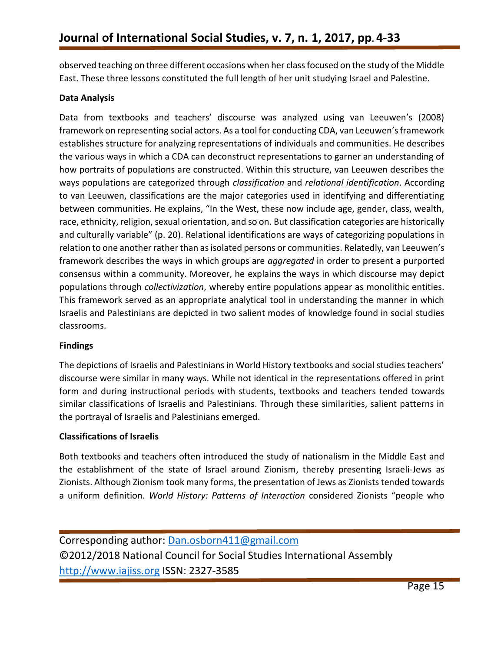observed teaching on three different occasions when her class focused on the study of the Middle East. These three lessons constituted the full length of her unit studying Israel and Palestine.

### **Data Analysis**

Data from textbooks and teachers' discourse was analyzed using van Leeuwen's (2008) framework on representing social actors. As a tool for conducting CDA, van Leeuwen's framework establishes structure for analyzing representations of individuals and communities. He describes the various ways in which a CDA can deconstruct representations to garner an understanding of how portraits of populations are constructed. Within this structure, van Leeuwen describes the ways populations are categorized through *classification* and *relational identification*. According to van Leeuwen, classifications are the major categories used in identifying and differentiating between communities. He explains, "In the West, these now include age, gender, class, wealth, race, ethnicity, religion, sexual orientation, and so on. But classification categories are historically and culturally variable" (p. 20). Relational identifications are ways of categorizing populations in relation to one another rather than as isolated persons or communities. Relatedly, van Leeuwen's framework describes the ways in which groups are *aggregated* in order to present a purported consensus within a community. Moreover, he explains the ways in which discourse may depict populations through *collectivization*, whereby entire populations appear as monolithic entities. This framework served as an appropriate analytical tool in understanding the manner in which Israelis and Palestinians are depicted in two salient modes of knowledge found in social studies classrooms.

### **Findings**

The depictions of Israelis and Palestinians in World History textbooks and social studies teachers' discourse were similar in many ways. While not identical in the representations offered in print form and during instructional periods with students, textbooks and teachers tended towards similar classifications of Israelis and Palestinians. Through these similarities, salient patterns in the portrayal of Israelis and Palestinians emerged.

#### **Classifications of Israelis**

Both textbooks and teachers often introduced the study of nationalism in the Middle East and the establishment of the state of Israel around Zionism, thereby presenting Israeli-Jews as Zionists. Although Zionism took many forms, the presentation of Jews as Zionists tended towards a uniform definition. *World History: Patterns of Interaction* considered Zionists "people who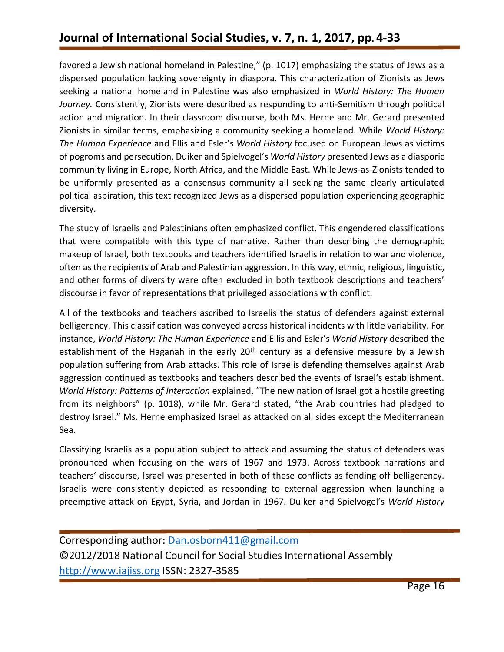favored a Jewish national homeland in Palestine," (p. 1017) emphasizing the status of Jews as a dispersed population lacking sovereignty in diaspora. This characterization of Zionists as Jews seeking a national homeland in Palestine was also emphasized in *World History: The Human Journey.* Consistently, Zionists were described as responding to anti-Semitism through political action and migration. In their classroom discourse, both Ms. Herne and Mr. Gerard presented Zionists in similar terms, emphasizing a community seeking a homeland. While *World History: The Human Experience* and Ellis and Esler's *World History* focused on European Jews as victims of pogroms and persecution, Duiker and Spielvogel's *World History* presented Jews as a diasporic community living in Europe, North Africa, and the Middle East. While Jews-as-Zionists tended to be uniformly presented as a consensus community all seeking the same clearly articulated political aspiration, this text recognized Jews as a dispersed population experiencing geographic diversity.

The study of Israelis and Palestinians often emphasized conflict. This engendered classifications that were compatible with this type of narrative. Rather than describing the demographic makeup of Israel, both textbooks and teachers identified Israelis in relation to war and violence, often as the recipients of Arab and Palestinian aggression. In this way, ethnic, religious, linguistic, and other forms of diversity were often excluded in both textbook descriptions and teachers' discourse in favor of representations that privileged associations with conflict.

All of the textbooks and teachers ascribed to Israelis the status of defenders against external belligerency. This classification was conveyed across historical incidents with little variability. For instance, *World History: The Human Experience* and Ellis and Esler's *World History* described the establishment of the Haganah in the early 20<sup>th</sup> century as a defensive measure by a Jewish population suffering from Arab attacks. This role of Israelis defending themselves against Arab aggression continued as textbooks and teachers described the events of Israel's establishment. *World History: Patterns of Interaction* explained, "The new nation of Israel got a hostile greeting from its neighbors" (p. 1018), while Mr. Gerard stated, "the Arab countries had pledged to destroy Israel." Ms. Herne emphasized Israel as attacked on all sides except the Mediterranean Sea.

Classifying Israelis as a population subject to attack and assuming the status of defenders was pronounced when focusing on the wars of 1967 and 1973. Across textbook narrations and teachers' discourse, Israel was presented in both of these conflicts as fending off belligerency. Israelis were consistently depicted as responding to external aggression when launching a preemptive attack on Egypt, Syria, and Jordan in 1967. Duiker and Spielvogel's *World History*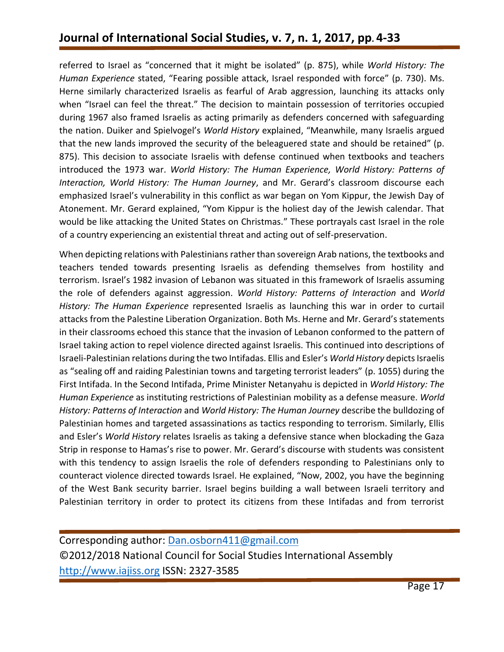referred to Israel as "concerned that it might be isolated" (p. 875), while *World History: The Human Experience* stated, "Fearing possible attack, Israel responded with force" (p. 730). Ms. Herne similarly characterized Israelis as fearful of Arab aggression, launching its attacks only when "Israel can feel the threat." The decision to maintain possession of territories occupied during 1967 also framed Israelis as acting primarily as defenders concerned with safeguarding the nation. Duiker and Spielvogel's *World History* explained, "Meanwhile, many Israelis argued that the new lands improved the security of the beleaguered state and should be retained" (p. 875). This decision to associate Israelis with defense continued when textbooks and teachers introduced the 1973 war. *World History: The Human Experience, World History: Patterns of Interaction, World History: The Human Journey*, and Mr. Gerard's classroom discourse each emphasized Israel's vulnerability in this conflict as war began on Yom Kippur, the Jewish Day of Atonement. Mr. Gerard explained, "Yom Kippur is the holiest day of the Jewish calendar. That would be like attacking the United States on Christmas." These portrayals cast Israel in the role of a country experiencing an existential threat and acting out of self-preservation.

When depicting relations with Palestinians rather than sovereign Arab nations, the textbooks and teachers tended towards presenting Israelis as defending themselves from hostility and terrorism. Israel's 1982 invasion of Lebanon was situated in this framework of Israelis assuming the role of defenders against aggression. *World History: Patterns of Interaction* and *World History: The Human Experience* represented Israelis as launching this war in order to curtail attacks from the Palestine Liberation Organization. Both Ms. Herne and Mr. Gerard's statements in their classrooms echoed this stance that the invasion of Lebanon conformed to the pattern of Israel taking action to repel violence directed against Israelis. This continued into descriptions of Israeli-Palestinian relations during the two Intifadas. Ellis and Esler's *World History* depicts Israelis as "sealing off and raiding Palestinian towns and targeting terrorist leaders" (p. 1055) during the First Intifada. In the Second Intifada, Prime Minister Netanyahu is depicted in *World History: The Human Experience* as instituting restrictions of Palestinian mobility as a defense measure. *World History: Patterns of Interaction* and *World History: The Human Journey* describe the bulldozing of Palestinian homes and targeted assassinations as tactics responding to terrorism. Similarly, Ellis and Esler's *World History* relates Israelis as taking a defensive stance when blockading the Gaza Strip in response to Hamas's rise to power. Mr. Gerard's discourse with students was consistent with this tendency to assign Israelis the role of defenders responding to Palestinians only to counteract violence directed towards Israel. He explained, "Now, 2002, you have the beginning of the West Bank security barrier. Israel begins building a wall between Israeli territory and Palestinian territory in order to protect its citizens from these Intifadas and from terrorist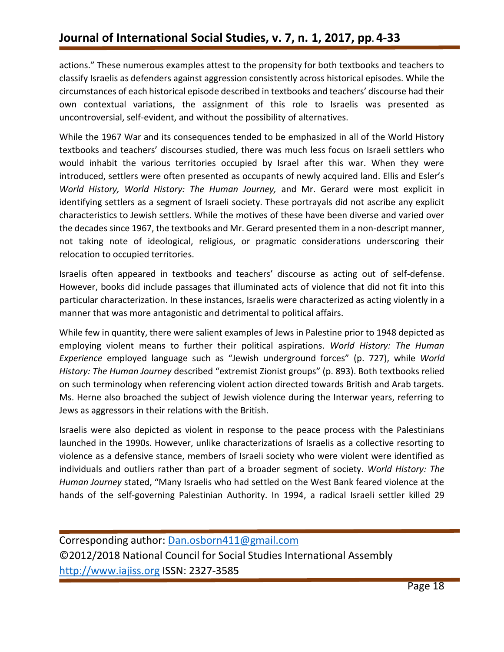actions." These numerous examples attest to the propensity for both textbooks and teachers to classify Israelis as defenders against aggression consistently across historical episodes. While the circumstances of each historical episode described in textbooks and teachers' discourse had their own contextual variations, the assignment of this role to Israelis was presented as uncontroversial, self-evident, and without the possibility of alternatives.

While the 1967 War and its consequences tended to be emphasized in all of the World History textbooks and teachers' discourses studied, there was much less focus on Israeli settlers who would inhabit the various territories occupied by Israel after this war. When they were introduced, settlers were often presented as occupants of newly acquired land. Ellis and Esler's *World History, World History: The Human Journey,* and Mr. Gerard were most explicit in identifying settlers as a segment of Israeli society. These portrayals did not ascribe any explicit characteristics to Jewish settlers. While the motives of these have been diverse and varied over the decades since 1967, the textbooks and Mr. Gerard presented them in a non-descript manner, not taking note of ideological, religious, or pragmatic considerations underscoring their relocation to occupied territories.

Israelis often appeared in textbooks and teachers' discourse as acting out of self-defense. However, books did include passages that illuminated acts of violence that did not fit into this particular characterization. In these instances, Israelis were characterized as acting violently in a manner that was more antagonistic and detrimental to political affairs.

While few in quantity, there were salient examples of Jews in Palestine prior to 1948 depicted as employing violent means to further their political aspirations. *World History: The Human Experience* employed language such as "Jewish underground forces" (p. 727), while *World History: The Human Journey* described "extremist Zionist groups" (p. 893). Both textbooks relied on such terminology when referencing violent action directed towards British and Arab targets. Ms. Herne also broached the subject of Jewish violence during the Interwar years, referring to Jews as aggressors in their relations with the British.

Israelis were also depicted as violent in response to the peace process with the Palestinians launched in the 1990s. However, unlike characterizations of Israelis as a collective resorting to violence as a defensive stance, members of Israeli society who were violent were identified as individuals and outliers rather than part of a broader segment of society. *World History: The Human Journey* stated, "Many Israelis who had settled on the West Bank feared violence at the hands of the self-governing Palestinian Authority. In 1994, a radical Israeli settler killed 29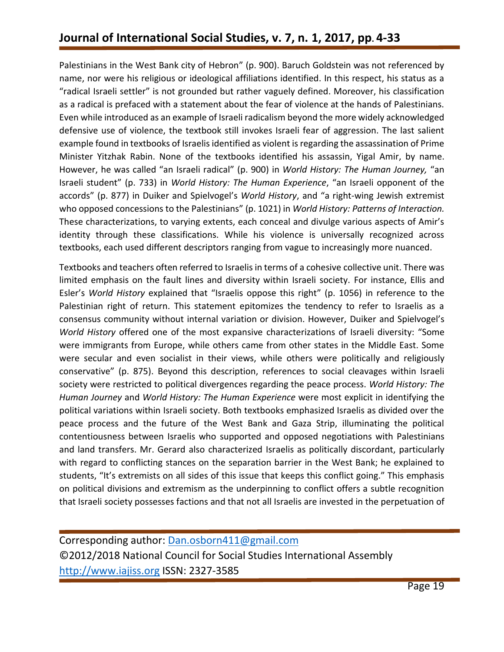Palestinians in the West Bank city of Hebron" (p. 900). Baruch Goldstein was not referenced by name, nor were his religious or ideological affiliations identified. In this respect, his status as a "radical Israeli settler" is not grounded but rather vaguely defined. Moreover, his classification as a radical is prefaced with a statement about the fear of violence at the hands of Palestinians. Even while introduced as an example of Israeli radicalism beyond the more widely acknowledged defensive use of violence, the textbook still invokes Israeli fear of aggression. The last salient example found in textbooks of Israelis identified as violent is regarding the assassination of Prime Minister Yitzhak Rabin. None of the textbooks identified his assassin, Yigal Amir, by name. However, he was called "an Israeli radical" (p. 900) in *World History: The Human Journey,* "an Israeli student" (p. 733) in *World History: The Human Experience*, "an Israeli opponent of the accords" (p. 877) in Duiker and Spielvogel's *World History*, and "a right-wing Jewish extremist who opposed concessions to the Palestinians" (p. 1021) in *World History: Patterns of Interaction.*  These characterizations, to varying extents, each conceal and divulge various aspects of Amir's identity through these classifications. While his violence is universally recognized across textbooks, each used different descriptors ranging from vague to increasingly more nuanced.

Textbooks and teachers often referred to Israelis in terms of a cohesive collective unit. There was limited emphasis on the fault lines and diversity within Israeli society. For instance, Ellis and Esler's *World History* explained that "Israelis oppose this right" (p. 1056) in reference to the Palestinian right of return. This statement epitomizes the tendency to refer to Israelis as a consensus community without internal variation or division. However, Duiker and Spielvogel's *World History* offered one of the most expansive characterizations of Israeli diversity: "Some were immigrants from Europe, while others came from other states in the Middle East. Some were secular and even socialist in their views, while others were politically and religiously conservative" (p. 875). Beyond this description, references to social cleavages within Israeli society were restricted to political divergences regarding the peace process. *World History: The Human Journey* and *World History: The Human Experience* were most explicit in identifying the political variations within Israeli society. Both textbooks emphasized Israelis as divided over the peace process and the future of the West Bank and Gaza Strip, illuminating the political contentiousness between Israelis who supported and opposed negotiations with Palestinians and land transfers. Mr. Gerard also characterized Israelis as politically discordant, particularly with regard to conflicting stances on the separation barrier in the West Bank; he explained to students, "It's extremists on all sides of this issue that keeps this conflict going." This emphasis on political divisions and extremism as the underpinning to conflict offers a subtle recognition that Israeli society possesses factions and that not all Israelis are invested in the perpetuation of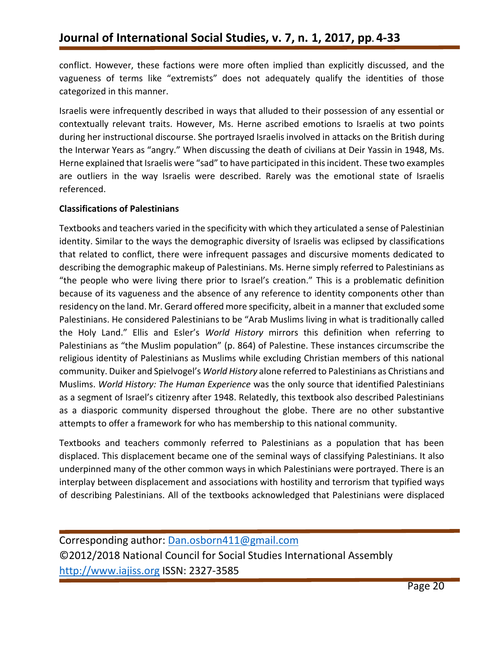conflict. However, these factions were more often implied than explicitly discussed, and the vagueness of terms like "extremists" does not adequately qualify the identities of those categorized in this manner.

Israelis were infrequently described in ways that alluded to their possession of any essential or contextually relevant traits. However, Ms. Herne ascribed emotions to Israelis at two points during her instructional discourse. She portrayed Israelis involved in attacks on the British during the Interwar Years as "angry." When discussing the death of civilians at Deir Yassin in 1948, Ms. Herne explained that Israelis were "sad" to have participated in this incident. These two examples are outliers in the way Israelis were described. Rarely was the emotional state of Israelis referenced.

### **Classifications of Palestinians**

Textbooks and teachers varied in the specificity with which they articulated a sense of Palestinian identity. Similar to the ways the demographic diversity of Israelis was eclipsed by classifications that related to conflict, there were infrequent passages and discursive moments dedicated to describing the demographic makeup of Palestinians. Ms. Herne simply referred to Palestinians as "the people who were living there prior to Israel's creation." This is a problematic definition because of its vagueness and the absence of any reference to identity components other than residency on the land. Mr. Gerard offered more specificity, albeit in a manner that excluded some Palestinians. He considered Palestinians to be "Arab Muslims living in what is traditionally called the Holy Land." Ellis and Esler's *World History* mirrors this definition when referring to Palestinians as "the Muslim population" (p. 864) of Palestine. These instances circumscribe the religious identity of Palestinians as Muslims while excluding Christian members of this national community. Duiker and Spielvogel's *World History* alone referred to Palestinians as Christians and Muslims. *World History: The Human Experience* was the only source that identified Palestinians as a segment of Israel's citizenry after 1948. Relatedly, this textbook also described Palestinians as a diasporic community dispersed throughout the globe. There are no other substantive attempts to offer a framework for who has membership to this national community.

Textbooks and teachers commonly referred to Palestinians as a population that has been displaced. This displacement became one of the seminal ways of classifying Palestinians. It also underpinned many of the other common ways in which Palestinians were portrayed. There is an interplay between displacement and associations with hostility and terrorism that typified ways of describing Palestinians. All of the textbooks acknowledged that Palestinians were displaced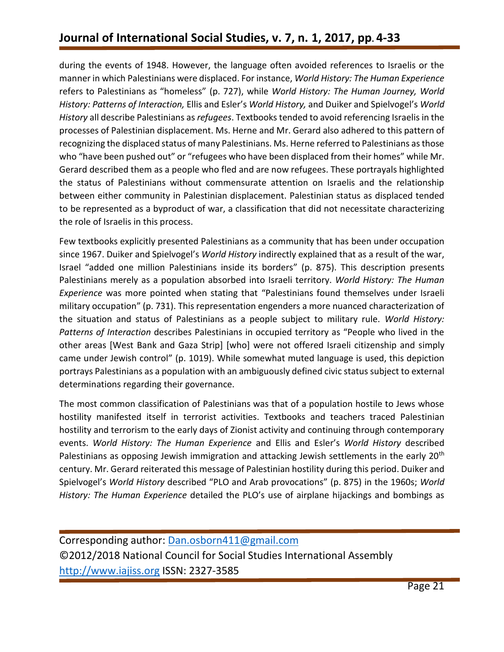during the events of 1948. However, the language often avoided references to Israelis or the manner in which Palestinians were displaced. For instance, *World History: The Human Experience*  refers to Palestinians as "homeless" (p. 727), while *World History: The Human Journey, World History: Patterns of Interaction,* Ellis and Esler's *World History,* and Duiker and Spielvogel's *World History* all describe Palestinians as *refugees*. Textbooks tended to avoid referencing Israelis in the processes of Palestinian displacement. Ms. Herne and Mr. Gerard also adhered to this pattern of recognizing the displaced status of many Palestinians. Ms. Herne referred to Palestinians as those who "have been pushed out" or "refugees who have been displaced from their homes" while Mr. Gerard described them as a people who fled and are now refugees. These portrayals highlighted the status of Palestinians without commensurate attention on Israelis and the relationship between either community in Palestinian displacement. Palestinian status as displaced tended to be represented as a byproduct of war, a classification that did not necessitate characterizing the role of Israelis in this process.

Few textbooks explicitly presented Palestinians as a community that has been under occupation since 1967. Duiker and Spielvogel's *World History* indirectly explained that as a result of the war, Israel "added one million Palestinians inside its borders" (p. 875). This description presents Palestinians merely as a population absorbed into Israeli territory. *World History: The Human Experience* was more pointed when stating that "Palestinians found themselves under Israeli military occupation" (p. 731). This representation engenders a more nuanced characterization of the situation and status of Palestinians as a people subject to military rule. *World History: Patterns of Interaction* describes Palestinians in occupied territory as "People who lived in the other areas [West Bank and Gaza Strip] [who] were not offered Israeli citizenship and simply came under Jewish control" (p. 1019). While somewhat muted language is used, this depiction portrays Palestinians as a population with an ambiguously defined civic status subject to external determinations regarding their governance.

The most common classification of Palestinians was that of a population hostile to Jews whose hostility manifested itself in terrorist activities. Textbooks and teachers traced Palestinian hostility and terrorism to the early days of Zionist activity and continuing through contemporary events. *World History: The Human Experience* and Ellis and Esler's *World History* described Palestinians as opposing Jewish immigration and attacking Jewish settlements in the early 20<sup>th</sup> century. Mr. Gerard reiterated this message of Palestinian hostility during this period. Duiker and Spielvogel's *World History* described "PLO and Arab provocations" (p. 875) in the 1960s; *World History: The Human Experience* detailed the PLO's use of airplane hijackings and bombings as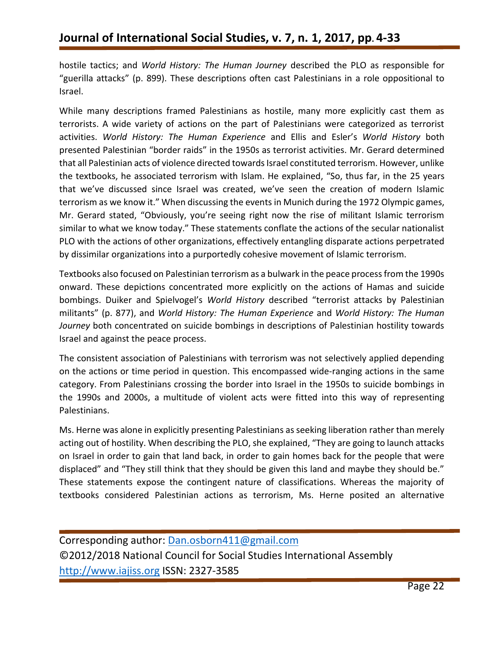hostile tactics; and *World History: The Human Journey* described the PLO as responsible for "guerilla attacks" (p. 899). These descriptions often cast Palestinians in a role oppositional to Israel.

While many descriptions framed Palestinians as hostile, many more explicitly cast them as terrorists. A wide variety of actions on the part of Palestinians were categorized as terrorist activities. *World History: The Human Experience* and Ellis and Esler's *World History* both presented Palestinian "border raids" in the 1950s as terrorist activities. Mr. Gerard determined that all Palestinian acts of violence directed towards Israel constituted terrorism. However, unlike the textbooks, he associated terrorism with Islam. He explained, "So, thus far, in the 25 years that we've discussed since Israel was created, we've seen the creation of modern Islamic terrorism as we know it." When discussing the events in Munich during the 1972 Olympic games, Mr. Gerard stated, "Obviously, you're seeing right now the rise of militant Islamic terrorism similar to what we know today." These statements conflate the actions of the secular nationalist PLO with the actions of other organizations, effectively entangling disparate actions perpetrated by dissimilar organizations into a purportedly cohesive movement of Islamic terrorism.

Textbooks also focused on Palestinian terrorism as a bulwark in the peace process from the 1990s onward. These depictions concentrated more explicitly on the actions of Hamas and suicide bombings. Duiker and Spielvogel's *World History* described "terrorist attacks by Palestinian militants" (p. 877), and *World History: The Human Experience* and *World History: The Human Journey* both concentrated on suicide bombings in descriptions of Palestinian hostility towards Israel and against the peace process.

The consistent association of Palestinians with terrorism was not selectively applied depending on the actions or time period in question. This encompassed wide-ranging actions in the same category. From Palestinians crossing the border into Israel in the 1950s to suicide bombings in the 1990s and 2000s, a multitude of violent acts were fitted into this way of representing Palestinians.

Ms. Herne was alone in explicitly presenting Palestinians as seeking liberation rather than merely acting out of hostility. When describing the PLO, she explained, "They are going to launch attacks on Israel in order to gain that land back, in order to gain homes back for the people that were displaced" and "They still think that they should be given this land and maybe they should be." These statements expose the contingent nature of classifications. Whereas the majority of textbooks considered Palestinian actions as terrorism, Ms. Herne posited an alternative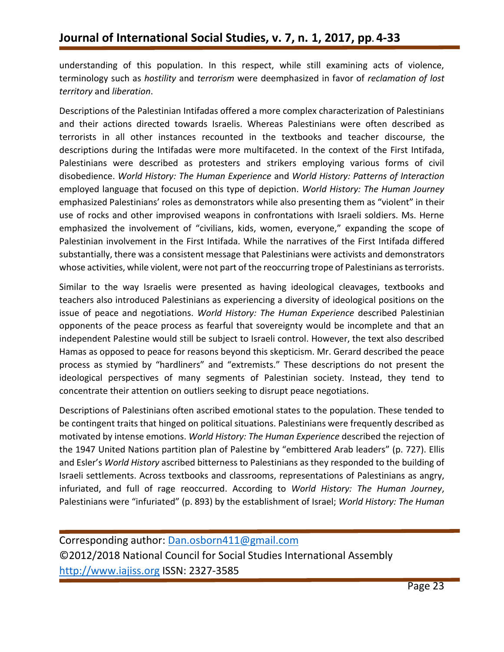understanding of this population. In this respect, while still examining acts of violence, terminology such as *hostility* and *terrorism* were deemphasized in favor of *reclamation of lost territory* and *liberation*.

Descriptions of the Palestinian Intifadas offered a more complex characterization of Palestinians and their actions directed towards Israelis. Whereas Palestinians were often described as terrorists in all other instances recounted in the textbooks and teacher discourse, the descriptions during the Intifadas were more multifaceted. In the context of the First Intifada, Palestinians were described as protesters and strikers employing various forms of civil disobedience. *World History: The Human Experience* and *World History: Patterns of Interaction*  employed language that focused on this type of depiction. *World History: The Human Journey*  emphasized Palestinians' roles as demonstrators while also presenting them as "violent" in their use of rocks and other improvised weapons in confrontations with Israeli soldiers. Ms. Herne emphasized the involvement of "civilians, kids, women, everyone," expanding the scope of Palestinian involvement in the First Intifada. While the narratives of the First Intifada differed substantially, there was a consistent message that Palestinians were activists and demonstrators whose activities, while violent, were not part of the reoccurring trope of Palestinians as terrorists.

Similar to the way Israelis were presented as having ideological cleavages, textbooks and teachers also introduced Palestinians as experiencing a diversity of ideological positions on the issue of peace and negotiations. *World History: The Human Experience* described Palestinian opponents of the peace process as fearful that sovereignty would be incomplete and that an independent Palestine would still be subject to Israeli control. However, the text also described Hamas as opposed to peace for reasons beyond this skepticism. Mr. Gerard described the peace process as stymied by "hardliners" and "extremists." These descriptions do not present the ideological perspectives of many segments of Palestinian society. Instead, they tend to concentrate their attention on outliers seeking to disrupt peace negotiations.

Descriptions of Palestinians often ascribed emotional states to the population. These tended to be contingent traits that hinged on political situations. Palestinians were frequently described as motivated by intense emotions. *World History: The Human Experience* described the rejection of the 1947 United Nations partition plan of Palestine by "embittered Arab leaders" (p. 727). Ellis and Esler's *World History* ascribed bitterness to Palestinians as they responded to the building of Israeli settlements. Across textbooks and classrooms, representations of Palestinians as angry, infuriated, and full of rage reoccurred. According to *World History: The Human Journey*, Palestinians were "infuriated" (p. 893) by the establishment of Israel; *World History: The Human*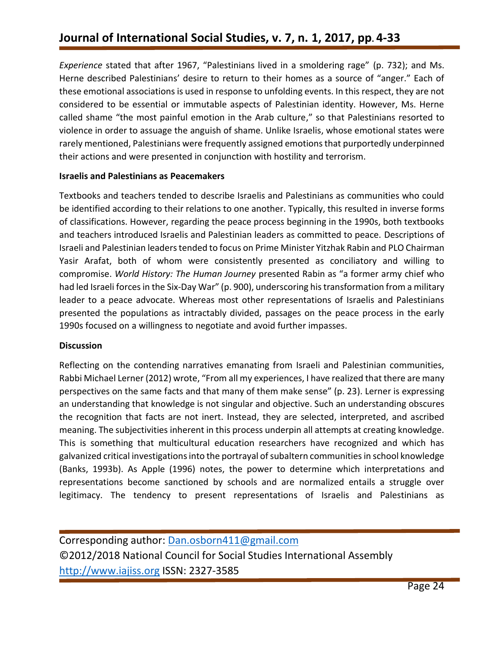*Experience* stated that after 1967, "Palestinians lived in a smoldering rage" (p. 732); and Ms. Herne described Palestinians' desire to return to their homes as a source of "anger." Each of these emotional associations is used in response to unfolding events. In this respect, they are not considered to be essential or immutable aspects of Palestinian identity. However, Ms. Herne called shame "the most painful emotion in the Arab culture," so that Palestinians resorted to violence in order to assuage the anguish of shame. Unlike Israelis, whose emotional states were rarely mentioned, Palestinians were frequently assigned emotionsthat purportedly underpinned their actions and were presented in conjunction with hostility and terrorism.

### **Israelis and Palestinians as Peacemakers**

Textbooks and teachers tended to describe Israelis and Palestinians as communities who could be identified according to their relations to one another. Typically, this resulted in inverse forms of classifications. However, regarding the peace process beginning in the 1990s, both textbooks and teachers introduced Israelis and Palestinian leaders as committed to peace. Descriptions of Israeli and Palestinian leaders tended to focus on Prime Minister Yitzhak Rabin and PLO Chairman Yasir Arafat, both of whom were consistently presented as conciliatory and willing to compromise. *World History: The Human Journey* presented Rabin as "a former army chief who had led Israeli forces in the Six-Day War" (p. 900), underscoring his transformation from a military leader to a peace advocate. Whereas most other representations of Israelis and Palestinians presented the populations as intractably divided, passages on the peace process in the early 1990s focused on a willingness to negotiate and avoid further impasses.

### **Discussion**

Reflecting on the contending narratives emanating from Israeli and Palestinian communities, Rabbi Michael Lerner (2012) wrote, "From all my experiences, I have realized that there are many perspectives on the same facts and that many of them make sense" (p. 23). Lerner is expressing an understanding that knowledge is not singular and objective. Such an understanding obscures the recognition that facts are not inert. Instead, they are selected, interpreted, and ascribed meaning. The subjectivities inherent in this process underpin all attempts at creating knowledge. This is something that multicultural education researchers have recognized and which has galvanized critical investigations into the portrayal of subaltern communities in school knowledge (Banks, 1993b). As Apple (1996) notes, the power to determine which interpretations and representations become sanctioned by schools and are normalized entails a struggle over legitimacy. The tendency to present representations of Israelis and Palestinians as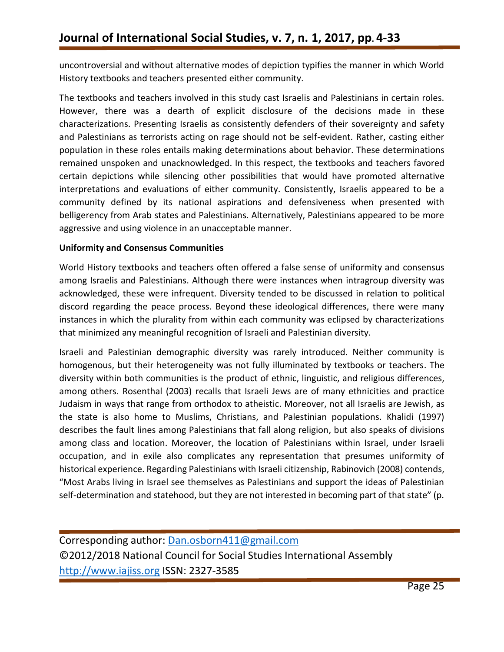uncontroversial and without alternative modes of depiction typifies the manner in which World History textbooks and teachers presented either community.

The textbooks and teachers involved in this study cast Israelis and Palestinians in certain roles. However, there was a dearth of explicit disclosure of the decisions made in these characterizations. Presenting Israelis as consistently defenders of their sovereignty and safety and Palestinians as terrorists acting on rage should not be self-evident. Rather, casting either population in these roles entails making determinations about behavior. These determinations remained unspoken and unacknowledged. In this respect, the textbooks and teachers favored certain depictions while silencing other possibilities that would have promoted alternative interpretations and evaluations of either community. Consistently, Israelis appeared to be a community defined by its national aspirations and defensiveness when presented with belligerency from Arab states and Palestinians. Alternatively, Palestinians appeared to be more aggressive and using violence in an unacceptable manner.

### **Uniformity and Consensus Communities**

World History textbooks and teachers often offered a false sense of uniformity and consensus among Israelis and Palestinians. Although there were instances when intragroup diversity was acknowledged, these were infrequent. Diversity tended to be discussed in relation to political discord regarding the peace process. Beyond these ideological differences, there were many instances in which the plurality from within each community was eclipsed by characterizations that minimized any meaningful recognition of Israeli and Palestinian diversity.

Israeli and Palestinian demographic diversity was rarely introduced. Neither community is homogenous, but their heterogeneity was not fully illuminated by textbooks or teachers. The diversity within both communities is the product of ethnic, linguistic, and religious differences, among others. Rosenthal (2003) recalls that Israeli Jews are of many ethnicities and practice Judaism in ways that range from orthodox to atheistic. Moreover, not all Israelis are Jewish, as the state is also home to Muslims, Christians, and Palestinian populations. Khalidi (1997) describes the fault lines among Palestinians that fall along religion, but also speaks of divisions among class and location. Moreover, the location of Palestinians within Israel, under Israeli occupation, and in exile also complicates any representation that presumes uniformity of historical experience. Regarding Palestinians with Israeli citizenship, Rabinovich (2008) contends, "Most Arabs living in Israel see themselves as Palestinians and support the ideas of Palestinian self-determination and statehood, but they are not interested in becoming part of that state" (p.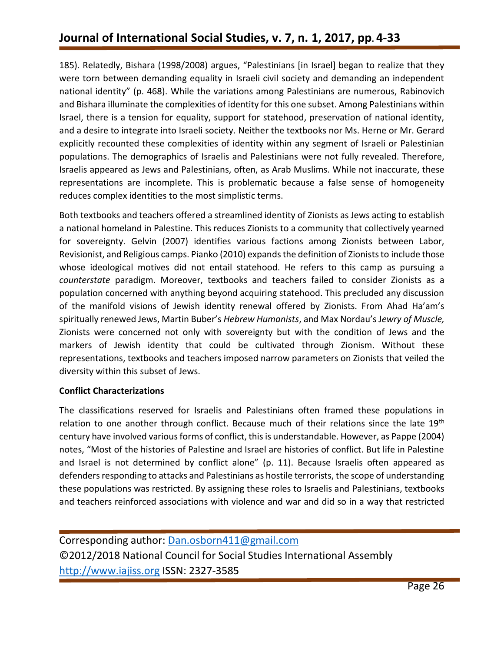185). Relatedly, Bishara (1998/2008) argues, "Palestinians [in Israel] began to realize that they were torn between demanding equality in Israeli civil society and demanding an independent national identity" (p. 468). While the variations among Palestinians are numerous, Rabinovich and Bishara illuminate the complexities of identity for this one subset. Among Palestinians within Israel, there is a tension for equality, support for statehood, preservation of national identity, and a desire to integrate into Israeli society. Neither the textbooks nor Ms. Herne or Mr. Gerard explicitly recounted these complexities of identity within any segment of Israeli or Palestinian populations. The demographics of Israelis and Palestinians were not fully revealed. Therefore, Israelis appeared as Jews and Palestinians, often, as Arab Muslims. While not inaccurate, these representations are incomplete. This is problematic because a false sense of homogeneity reduces complex identities to the most simplistic terms.

Both textbooks and teachers offered a streamlined identity of Zionists as Jews acting to establish a national homeland in Palestine. This reduces Zionists to a community that collectively yearned for sovereignty. Gelvin (2007) identifies various factions among Zionists between Labor, Revisionist, and Religious camps. Pianko (2010) expands the definition of Zionists to include those whose ideological motives did not entail statehood. He refers to this camp as pursuing a *counterstate* paradigm. Moreover, textbooks and teachers failed to consider Zionists as a population concerned with anything beyond acquiring statehood. This precluded any discussion of the manifold visions of Jewish identity renewal offered by Zionists. From Ahad Ha'am's spiritually renewed Jews, Martin Buber's *Hebrew Humanists*, and Max Nordau's J*ewry of Muscle,* Zionists were concerned not only with sovereignty but with the condition of Jews and the markers of Jewish identity that could be cultivated through Zionism. Without these representations, textbooks and teachers imposed narrow parameters on Zionists that veiled the diversity within this subset of Jews.

#### **Conflict Characterizations**

The classifications reserved for Israelis and Palestinians often framed these populations in relation to one another through conflict. Because much of their relations since the late 19<sup>th</sup> century have involved various forms of conflict, this is understandable. However, as Pappe (2004) notes, "Most of the histories of Palestine and Israel are histories of conflict. But life in Palestine and Israel is not determined by conflict alone" (p. 11). Because Israelis often appeared as defenders responding to attacks and Palestinians as hostile terrorists, the scope of understanding these populations was restricted. By assigning these roles to Israelis and Palestinians, textbooks and teachers reinforced associations with violence and war and did so in a way that restricted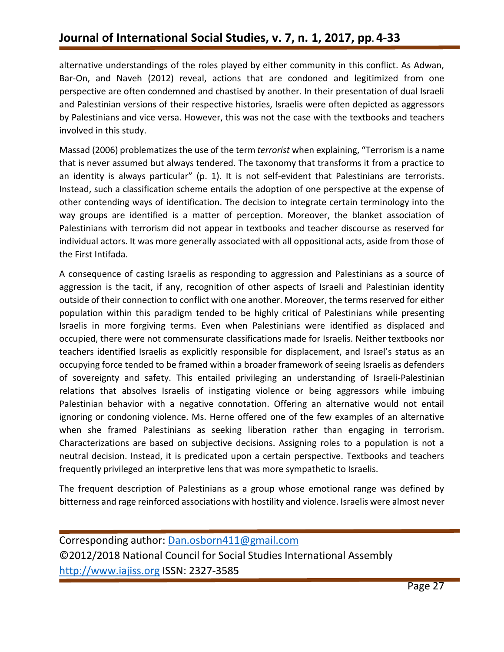alternative understandings of the roles played by either community in this conflict. As Adwan, Bar-On, and Naveh (2012) reveal, actions that are condoned and legitimized from one perspective are often condemned and chastised by another. In their presentation of dual Israeli and Palestinian versions of their respective histories, Israelis were often depicted as aggressors by Palestinians and vice versa. However, this was not the case with the textbooks and teachers involved in this study.

Massad (2006) problematizes the use of the term *terrorist* when explaining, "Terrorism is a name that is never assumed but always tendered. The taxonomy that transforms it from a practice to an identity is always particular" (p. 1). It is not self-evident that Palestinians are terrorists. Instead, such a classification scheme entails the adoption of one perspective at the expense of other contending ways of identification. The decision to integrate certain terminology into the way groups are identified is a matter of perception. Moreover, the blanket association of Palestinians with terrorism did not appear in textbooks and teacher discourse as reserved for individual actors. It was more generally associated with all oppositional acts, aside from those of the First Intifada.

A consequence of casting Israelis as responding to aggression and Palestinians as a source of aggression is the tacit, if any, recognition of other aspects of Israeli and Palestinian identity outside of their connection to conflict with one another. Moreover, the terms reserved for either population within this paradigm tended to be highly critical of Palestinians while presenting Israelis in more forgiving terms. Even when Palestinians were identified as displaced and occupied, there were not commensurate classifications made for Israelis. Neither textbooks nor teachers identified Israelis as explicitly responsible for displacement, and Israel's status as an occupying force tended to be framed within a broader framework of seeing Israelis as defenders of sovereignty and safety. This entailed privileging an understanding of Israeli-Palestinian relations that absolves Israelis of instigating violence or being aggressors while imbuing Palestinian behavior with a negative connotation. Offering an alternative would not entail ignoring or condoning violence. Ms. Herne offered one of the few examples of an alternative when she framed Palestinians as seeking liberation rather than engaging in terrorism. Characterizations are based on subjective decisions. Assigning roles to a population is not a neutral decision. Instead, it is predicated upon a certain perspective. Textbooks and teachers frequently privileged an interpretive lens that was more sympathetic to Israelis.

The frequent description of Palestinians as a group whose emotional range was defined by bitterness and rage reinforced associations with hostility and violence. Israelis were almost never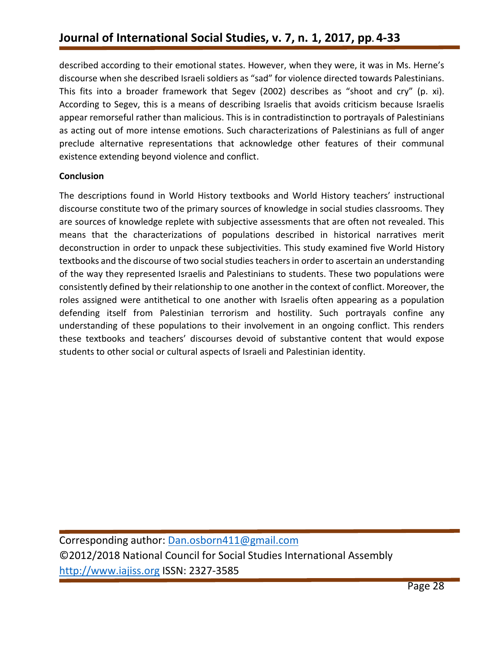described according to their emotional states. However, when they were, it was in Ms. Herne's discourse when she described Israeli soldiers as "sad" for violence directed towards Palestinians. This fits into a broader framework that Segev (2002) describes as "shoot and cry" (p. xi). According to Segev, this is a means of describing Israelis that avoids criticism because Israelis appear remorseful rather than malicious. This is in contradistinction to portrayals of Palestinians as acting out of more intense emotions. Such characterizations of Palestinians as full of anger preclude alternative representations that acknowledge other features of their communal existence extending beyond violence and conflict.

#### **Conclusion**

The descriptions found in World History textbooks and World History teachers' instructional discourse constitute two of the primary sources of knowledge in social studies classrooms. They are sources of knowledge replete with subjective assessments that are often not revealed. This means that the characterizations of populations described in historical narratives merit deconstruction in order to unpack these subjectivities. This study examined five World History textbooks and the discourse of two social studies teachers in order to ascertain an understanding of the way they represented Israelis and Palestinians to students. These two populations were consistently defined by their relationship to one another in the context of conflict. Moreover, the roles assigned were antithetical to one another with Israelis often appearing as a population defending itself from Palestinian terrorism and hostility. Such portrayals confine any understanding of these populations to their involvement in an ongoing conflict. This renders these textbooks and teachers' discourses devoid of substantive content that would expose students to other social or cultural aspects of Israeli and Palestinian identity.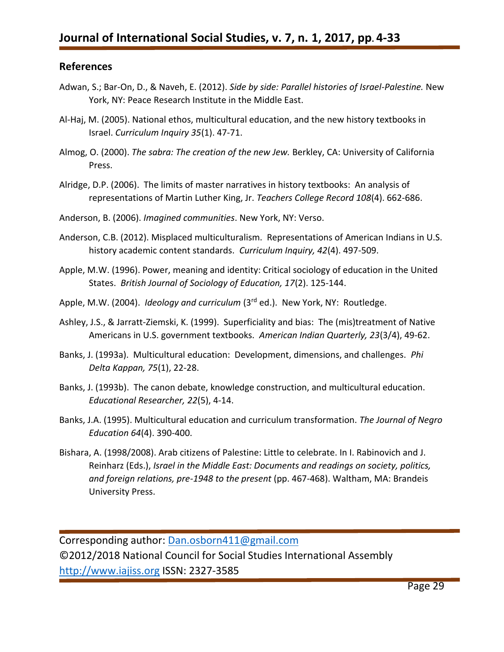### **References**

- Adwan, S.; Bar-On, D., & Naveh, E. (2012). *Side by side: Parallel histories of Israel-Palestine.* New York, NY: Peace Research Institute in the Middle East.
- Al-Haj, M. (2005). National ethos, multicultural education, and the new history textbooks in Israel. *Curriculum Inquiry 35*(1). 47-71.
- Almog, O. (2000). *The sabra: The creation of the new Jew.* Berkley, CA: University of California Press.
- Alridge, D.P. (2006). The limits of master narratives in history textbooks: An analysis of representations of Martin Luther King, Jr. *Teachers College Record 108*(4). 662-686.
- Anderson, B. (2006). *Imagined communities*. New York, NY: Verso.
- Anderson, C.B. (2012). Misplaced multiculturalism. Representations of American Indians in U.S. history academic content standards. *Curriculum Inquiry, 42*(4). 497-509.
- Apple, M.W. (1996). Power, meaning and identity: Critical sociology of education in the United States. *British Journal of Sociology of Education, 17*(2). 125-144.
- Apple, M.W. (2004). *Ideology and curriculum* (3<sup>rd</sup> ed.). New York, NY: Routledge.
- Ashley, J.S., & Jarratt-Ziemski, K. (1999). Superficiality and bias: The (mis)treatment of Native Americans in U.S. government textbooks. *American Indian Quarterly, 23*(3/4), 49-62.
- Banks, J. (1993a). Multicultural education: Development, dimensions, and challenges. *Phi Delta Kappan, 75*(1), 22-28.
- Banks, J. (1993b). The canon debate, knowledge construction, and multicultural education. *Educational Researcher, 22*(5), 4-14.
- Banks, J.A. (1995). Multicultural education and curriculum transformation. *The Journal of Negro Education 64*(4). 390-400.
- Bishara, A. (1998/2008). Arab citizens of Palestine: Little to celebrate. In I. Rabinovich and J. Reinharz (Eds.), *Israel in the Middle East: Documents and readings on society, politics, and foreign relations, pre-1948 to the present* (pp. 467-468). Waltham, MA: Brandeis University Press.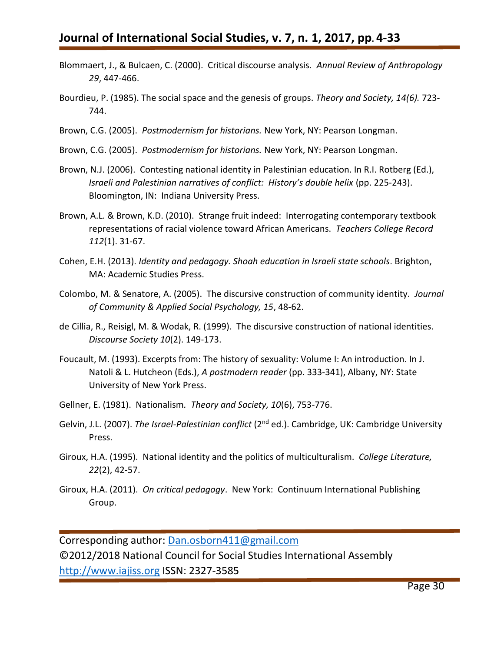- Blommaert, J., & Bulcaen, C. (2000). Critical discourse analysis. *Annual Review of Anthropology 29*, 447-466.
- Bourdieu, P. (1985). The social space and the genesis of groups. *Theory and Society, 14(6).* 723- 744.
- Brown, C.G. (2005). *Postmodernism for historians.* New York, NY: Pearson Longman.
- Brown, C.G. (2005). *Postmodernism for historians.* New York, NY: Pearson Longman.
- Brown, N.J. (2006). Contesting national identity in Palestinian education. In R.I. Rotberg (Ed.), *Israeli and Palestinian narratives of conflict: History's double helix* (pp. 225-243). Bloomington, IN: Indiana University Press.
- Brown, A.L. & Brown, K.D. (2010). Strange fruit indeed: Interrogating contemporary textbook representations of racial violence toward African Americans. *Teachers College Record 112*(1). 31-67.
- Cohen, E.H. (2013). *Identity and pedagogy. Shoah education in Israeli state schools*. Brighton, MA: Academic Studies Press.
- Colombo, M. & Senatore, A. (2005). The discursive construction of community identity. *Journal of Community & Applied Social Psychology, 15*, 48-62.
- de Cillia, R., Reisigl, M. & Wodak, R. (1999). The discursive construction of national identities. *Discourse Society 10*(2). 149-173.
- Foucault, M. (1993). Excerpts from: The history of sexuality: Volume I: An introduction. In J. Natoli & L. Hutcheon (Eds.), *A postmodern reader* (pp. 333-341), Albany, NY: State University of New York Press.
- Gellner, E. (1981). Nationalism*. Theory and Society, 10*(6), 753-776.
- Gelvin, J.L. (2007). *The Israel-Palestinian conflict* (2<sup>nd</sup> ed.). Cambridge, UK: Cambridge University Press.
- Giroux, H.A. (1995). National identity and the politics of multiculturalism. *College Literature, 22*(2), 42-57.
- Giroux, H.A. (2011). *On critical pedagogy*. New York: Continuum International Publishing Group.

Corresponding author: [Dan.osborn411@gmail.com](mailto:Dan.osborn411@gmail.com)

©2012/2018 National Council for Social Studies International Assembly [http://www.iajiss.org](http://www.iajiss.org/) ISSN: 2327-3585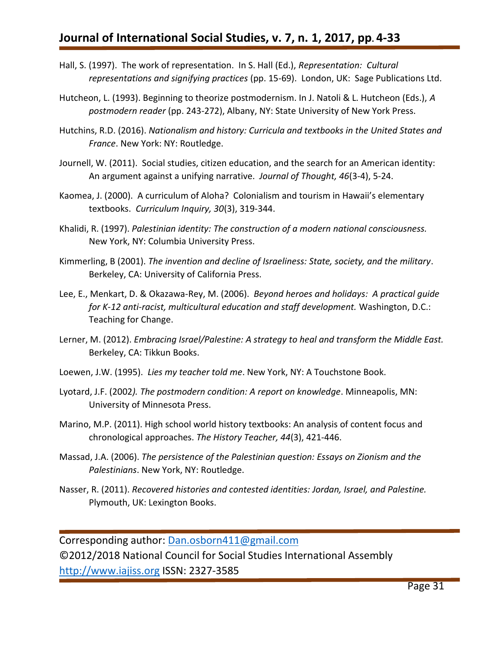- Hall, S. (1997). The work of representation. In S. Hall (Ed.), *Representation: Cultural representations and signifying practices* (pp. 15-69). London, UK: Sage Publications Ltd.
- Hutcheon, L. (1993). Beginning to theorize postmodernism. In J. Natoli & L. Hutcheon (Eds.), *A postmodern reader* (pp. 243-272), Albany, NY: State University of New York Press.
- Hutchins, R.D. (2016). *Nationalism and history: Curricula and textbooks in the United States and France*. New York: NY: Routledge.
- Journell, W. (2011). Social studies, citizen education, and the search for an American identity: An argument against a unifying narrative. *Journal of Thought, 46*(3-4), 5-24.
- Kaomea, J. (2000). A curriculum of Aloha? Colonialism and tourism in Hawaii's elementary textbooks. *Curriculum Inquiry, 30*(3), 319-344.
- Khalidi, R. (1997). *Palestinian identity: The construction of a modern national consciousness.*  New York, NY: Columbia University Press.
- Kimmerling, B (2001). *The invention and decline of Israeliness: State, society, and the military*. Berkeley, CA: University of California Press.
- Lee, E., Menkart, D. & Okazawa-Rey, M. (2006). *Beyond heroes and holidays: A practical guide for K-12 anti-racist, multicultural education and staff development.* Washington, D.C.: Teaching for Change.
- Lerner, M. (2012). *Embracing Israel/Palestine: A strategy to heal and transform the Middle East.*  Berkeley, CA: Tikkun Books.
- Loewen, J.W. (1995). *Lies my teacher told me*. New York, NY: A Touchstone Book.
- Lyotard, J.F. (2002*). The postmodern condition: A report on knowledge*. Minneapolis, MN: University of Minnesota Press.
- Marino, M.P. (2011). High school world history textbooks: An analysis of content focus and chronological approaches. *The History Teacher, 44*(3), 421-446.
- Massad, J.A. (2006). *The persistence of the Palestinian question: Essays on Zionism and the Palestinians*. New York, NY: Routledge.
- Nasser, R. (2011). *Recovered histories and contested identities: Jordan, Israel, and Palestine.* Plymouth, UK: Lexington Books.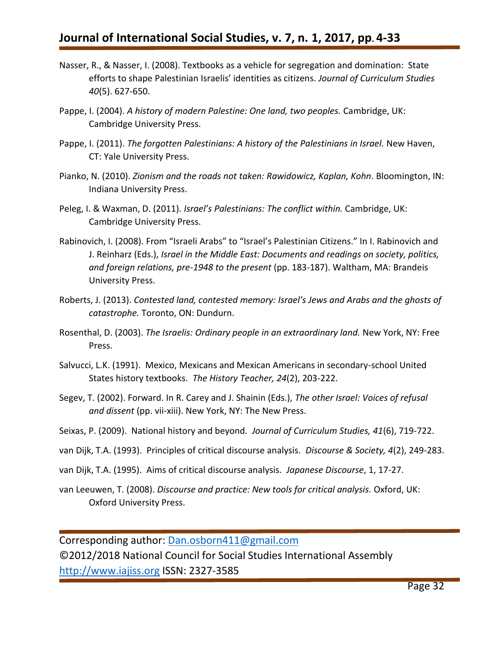- Nasser, R., & Nasser, I. (2008). Textbooks as a vehicle for segregation and domination: State efforts to shape Palestinian Israelis' identities as citizens. *Journal of Curriculum Studies 40*(5). 627-650.
- Pappe, I. (2004). A history of modern Palestine: One land, two peoples. Cambridge, UK: Cambridge University Press.
- Pappe, I. (2011). *The forgotten Palestinians: A history of the Palestinians in Israel.* New Haven, CT: Yale University Press.
- Pianko, N. (2010). *Zionism and the roads not taken: Rawidowicz, Kaplan, Kohn*. Bloomington, IN: Indiana University Press.
- Peleg, I. & Waxman, D. (2011). *Israel's Palestinians: The conflict within.* Cambridge, UK: Cambridge University Press.
- Rabinovich, I. (2008). From "Israeli Arabs" to "Israel's Palestinian Citizens." In I. Rabinovich and J. Reinharz (Eds.), *Israel in the Middle East: Documents and readings on society, politics, and foreign relations, pre-1948 to the present* (pp. 183-187). Waltham, MA: Brandeis University Press.
- Roberts, J. (2013). *Contested land, contested memory: Israel's Jews and Arabs and the ghosts of catastrophe.* Toronto, ON: Dundurn.
- Rosenthal, D. (2003). *The Israelis: Ordinary people in an extraordinary land.* New York, NY: Free Press.
- Salvucci, L.K. (1991). Mexico, Mexicans and Mexican Americans in secondary-school United States history textbooks. *The History Teacher, 24*(2), 203-222.
- Segev, T. (2002). Forward. In R. Carey and J. Shainin (Eds.), *The other Israel: Voices of refusal and dissent* (pp. vii-xiii). New York, NY: The New Press.
- Seixas, P. (2009). National history and beyond*. Journal of Curriculum Studies, 41*(6), 719-722.
- van Dijk, T.A. (1993). Principles of critical discourse analysis. *Discourse & Society, 4*(2), 249-283.
- van Dijk, T.A. (1995). Aims of critical discourse analysis. *Japanese Discourse*, 1, 17-27.
- van Leeuwen, T. (2008). *Discourse and practice: New tools for critical analysis.* Oxford, UK: Oxford University Press.